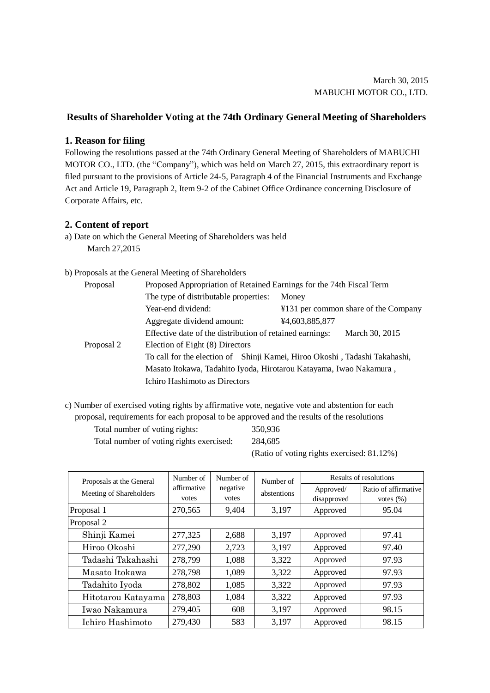## **Results of Shareholder Voting at the 74th Ordinary General Meeting of Shareholders**

## **1. Reason for filing**

Following the resolutions passed at the 74th Ordinary General Meeting of Shareholders of MABUCHI MOTOR CO., LTD. (the "Company"), which was held on March 27, 2015, this extraordinary report is filed pursuant to the provisions of Article 24-5, Paragraph 4 of the Financial Instruments and Exchange Act and Article 19, Paragraph 2, Item 9-2 of the Cabinet Office Ordinance concerning Disclosure of Corporate Affairs, etc.

## **2. Content of report**

a) Date on which the General Meeting of Shareholders was held March 27,2015

## b) Proposals at the General Meeting of Shareholders

| Proposal   | Proposed Appropriation of Retained Earnings for the 74th Fiscal Term       |                                      |  |  |  |
|------------|----------------------------------------------------------------------------|--------------------------------------|--|--|--|
|            | The type of distributable properties:                                      | Money                                |  |  |  |
|            | Year-end dividend:                                                         | ¥131 per common share of the Company |  |  |  |
|            | Aggregate dividend amount:                                                 | ¥4,603,885,877                       |  |  |  |
|            | Effective date of the distribution of retained earnings:                   | March 30, 2015                       |  |  |  |
| Proposal 2 | Election of Eight (8) Directors                                            |                                      |  |  |  |
|            | To call for the election of Shinji Kamei, Hiroo Okoshi, Tadashi Takahashi, |                                      |  |  |  |
|            | Masato Itokawa, Tadahito Iyoda, Hirotarou Katayama, Iwao Nakamura,         |                                      |  |  |  |
|            | Ichiro Hashimoto as Directors                                              |                                      |  |  |  |

c) Number of exercised voting rights by affirmative vote, negative vote and abstention for each proposal, requirements for each proposal to be approved and the results of the resolutions

Total number of voting rights: 350,936

Total number of voting rights exercised: 284,685

(Ratio of voting rights exercised: 81.12%)

| Proposals at the General | Number of<br>affirmative<br>votes | Number of<br>negative<br>votes | Number of<br>abstentions | Results of resolutions   |                                       |
|--------------------------|-----------------------------------|--------------------------------|--------------------------|--------------------------|---------------------------------------|
| Meeting of Shareholders  |                                   |                                |                          | Approved/<br>disapproved | Ratio of affirmative<br>votes $(\% )$ |
| Proposal 1               | 270,565                           | 9,404                          | 3,197                    | Approved                 | 95.04                                 |
| Proposal 2               |                                   |                                |                          |                          |                                       |
| Shinji Kamei             | 277,325                           | 2,688                          | 3,197                    | Approved                 | 97.41                                 |
| Hiroo Okoshi             | 277,290                           | 2,723                          | 3,197                    | Approved                 | 97.40                                 |
| Tadashi Takahashi        | 278,799                           | 1,088                          | 3,322                    | Approved                 | 97.93                                 |
| Masato Itokawa           | 278,798                           | 1,089                          | 3,322                    | Approved                 | 97.93                                 |
| Tadahito Iyoda           | 278,802                           | 1,085                          | 3,322                    | Approved                 | 97.93                                 |
| Hitotarou Katayama       | 278,803                           | 1,084                          | 3,322                    | Approved                 | 97.93                                 |
| Iwao Nakamura            | 279,405                           | 608                            | 3,197                    | Approved                 | 98.15                                 |
| Ichiro Hashimoto         | 279,430                           | 583                            | 3,197                    | Approved                 | 98.15                                 |